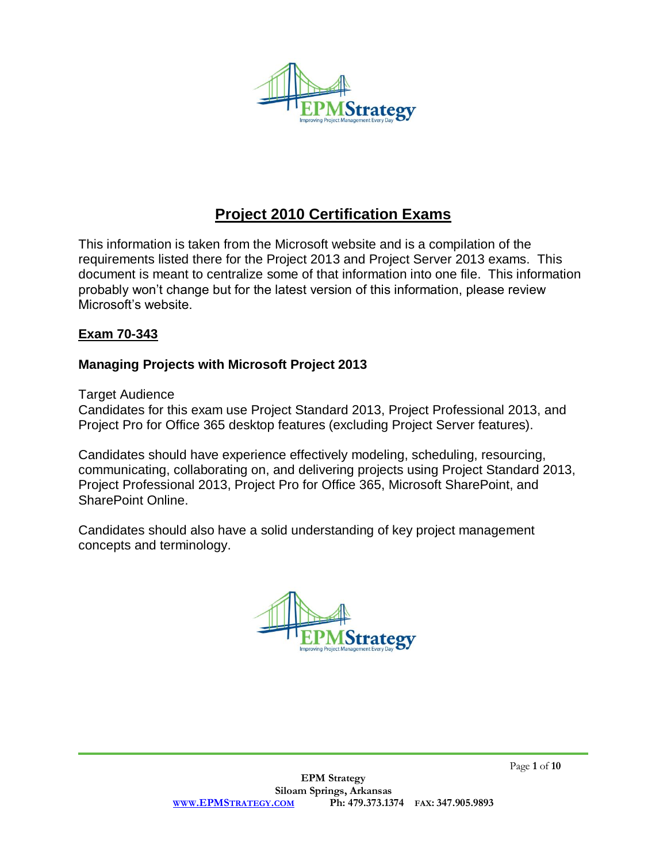

# **Project 2010 Certification Exams**

This information is taken from the Microsoft website and is a compilation of the requirements listed there for the Project 2013 and Project Server 2013 exams. This document is meant to centralize some of that information into one file. This information probably won't change but for the latest version of this information, please review Microsoft's website.

## **Exam 70-343**

## **Managing Projects with Microsoft Project 2013**

Target Audience

Candidates for this exam use Project Standard 2013, Project Professional 2013, and Project Pro for Office 365 desktop features (excluding Project Server features).

Candidates should have experience effectively modeling, scheduling, resourcing, communicating, collaborating on, and delivering projects using Project Standard 2013, Project Professional 2013, Project Pro for Office 365, Microsoft SharePoint, and SharePoint Online.

Candidates should also have a solid understanding of key project management concepts and terminology.

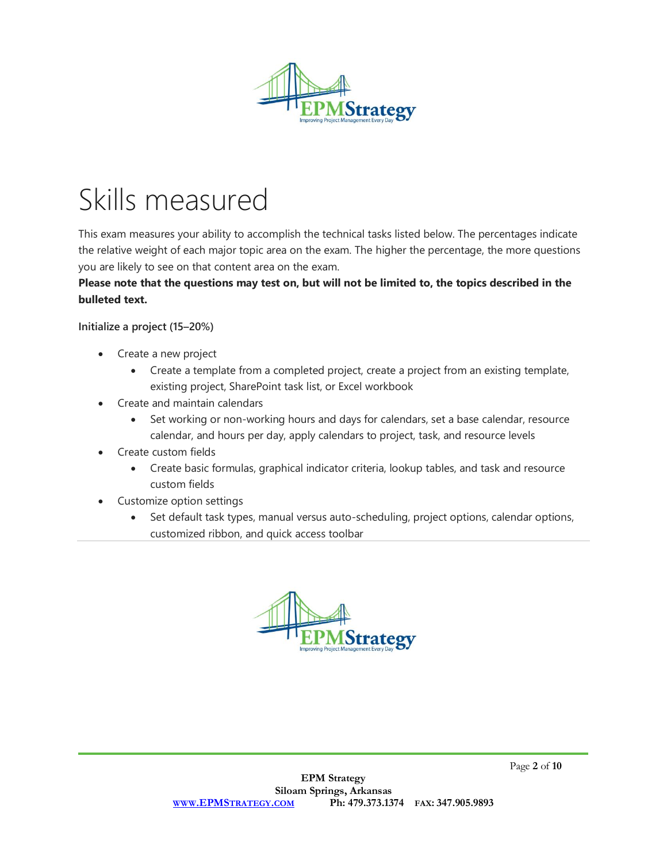

# Skills measured

This exam measures your ability to accomplish the technical tasks listed below. The percentages indicate the relative weight of each major topic area on the exam. The higher the percentage, the more questions you are likely to see on that content area on the exam.

# Please note that the questions may test on, but will not be limited to, the topics described in the **bulleted text.**

**Initialize a project (15–20%)**

- Create a new project
	- Create a template from a completed project, create a project from an existing template, existing project, SharePoint task list, or Excel workbook
- Create and maintain calendars
	- Set working or non-working hours and days for calendars, set a base calendar, resource calendar, and hours per day, apply calendars to project, task, and resource levels
- Create custom fields
	- Create basic formulas, graphical indicator criteria, lookup tables, and task and resource custom fields
- Customize option settings
	- Set default task types, manual versus auto-scheduling, project options, calendar options, customized ribbon, and quick access toolbar

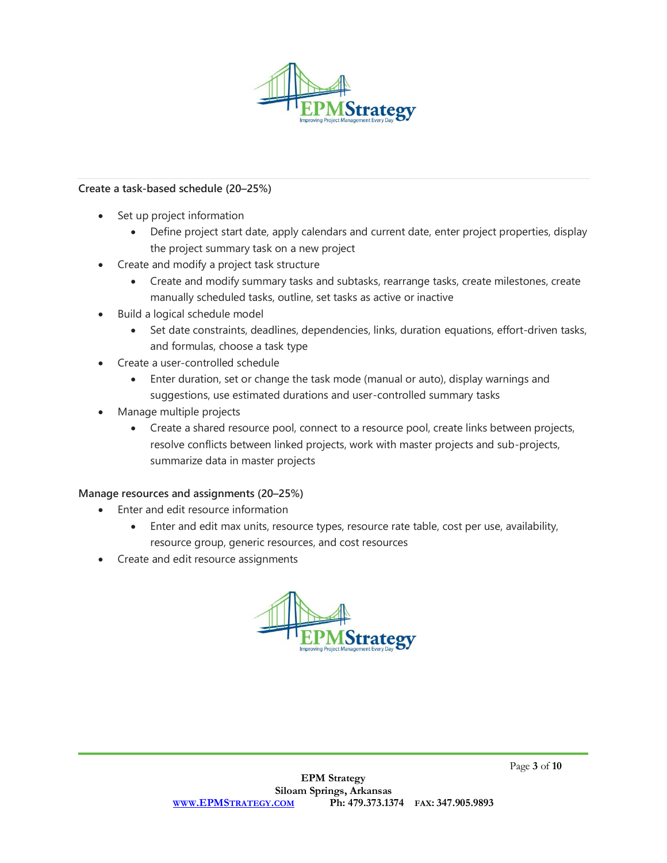

#### **Create a task-based schedule (20–25%)**

- Set up project information
	- Define project start date, apply calendars and current date, enter project properties, display the project summary task on a new project
- Create and modify a project task structure
	- Create and modify summary tasks and subtasks, rearrange tasks, create milestones, create manually scheduled tasks, outline, set tasks as active or inactive
- Build a logical schedule model
	- Set date constraints, deadlines, dependencies, links, duration equations, effort-driven tasks, and formulas, choose a task type
- Create a user-controlled schedule
	- Enter duration, set or change the task mode (manual or auto), display warnings and suggestions, use estimated durations and user-controlled summary tasks
- Manage multiple projects
	- Create a shared resource pool, connect to a resource pool, create links between projects, resolve conflicts between linked projects, work with master projects and sub-projects, summarize data in master projects

#### **Manage resources and assignments (20–25%)**

- Enter and edit resource information
	- Enter and edit max units, resource types, resource rate table, cost per use, availability, resource group, generic resources, and cost resources
- Create and edit resource assignments

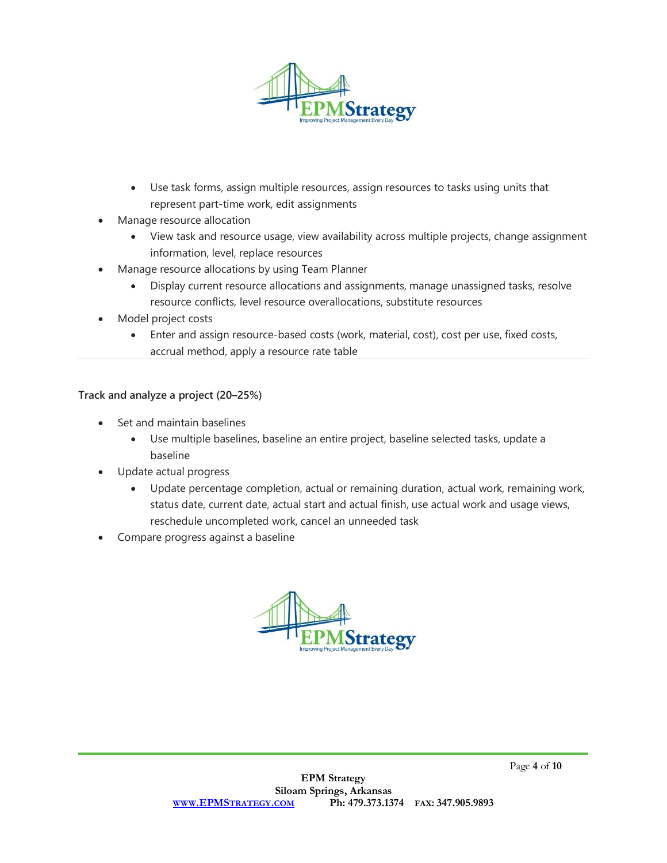

- Use task forms, assign multiple resources, assign resources to tasks using units that represent part-time work, edit assignments
- Manage resource allocation
	- View task and resource usage, view availability across multiple projects, change assignment information, level, replace resources
- Manage resource allocations by using Team Planner
	- Display current resource allocations and assignments, manage unassigned tasks, resolve resource conflicts, level resource overallocations, substitute resources
- Model project costs
	- Enter and assign resource-based costs (work, material, cost), cost per use, fixed costs, accrual method, apply a resource rate table

#### **Track and analyze a project (20–25%)**

- Set and maintain baselines
	- Use multiple baselines, baseline an entire project, baseline selected tasks, update a baseline
- Update actual progress
	- Update percentage completion, actual or remaining duration, actual work, remaining work, status date, current date, actual start and actual finish, use actual work and usage views, reschedule uncompleted work, cancel an unneeded task
- Compare progress against a baseline

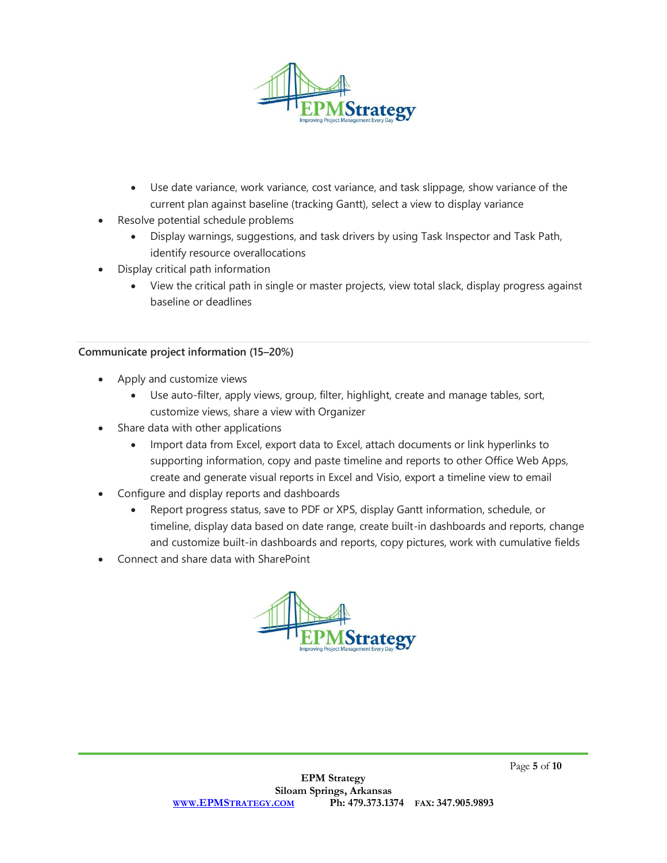

- Use date variance, work variance, cost variance, and task slippage, show variance of the current plan against baseline (tracking Gantt), select a view to display variance
- Resolve potential schedule problems
	- Display warnings, suggestions, and task drivers by using Task Inspector and Task Path, identify resource overallocations
- Display critical path information
	- View the critical path in single or master projects, view total slack, display progress against baseline or deadlines

#### **Communicate project information (15–20%)**

- Apply and customize views
	- Use auto-filter, apply views, group, filter, highlight, create and manage tables, sort, customize views, share a view with Organizer
- Share data with other applications
	- Import data from Excel, export data to Excel, attach documents or link hyperlinks to supporting information, copy and paste timeline and reports to other Office Web Apps, create and generate visual reports in Excel and Visio, export a timeline view to email
- Configure and display reports and dashboards
	- Report progress status, save to PDF or XPS, display Gantt information, schedule, or timeline, display data based on date range, create built-in dashboards and reports, change and customize built-in dashboards and reports, copy pictures, work with cumulative fields
- Connect and share data with SharePoint

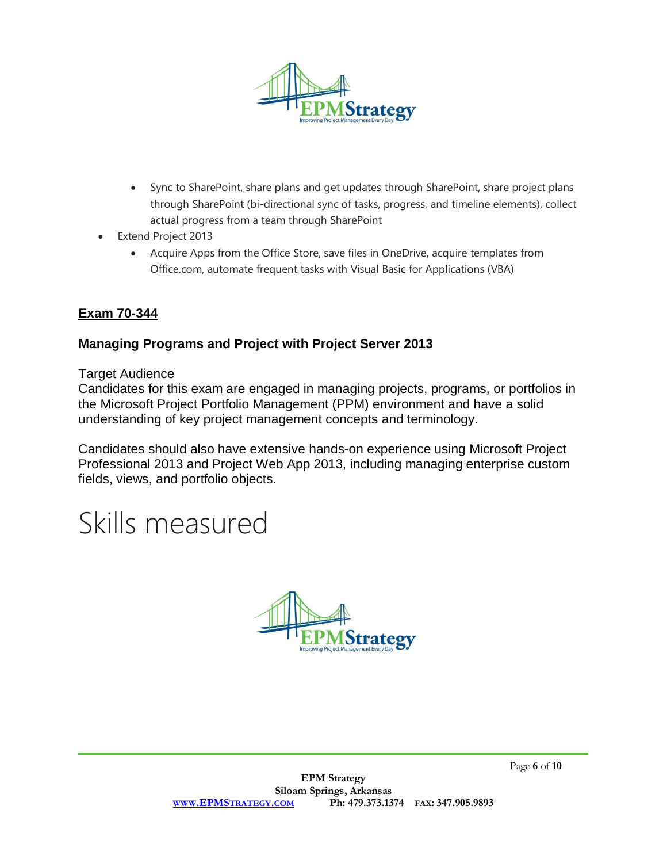

- Sync to SharePoint, share plans and get updates through SharePoint, share project plans through SharePoint (bi-directional sync of tasks, progress, and timeline elements), collect actual progress from a team through SharePoint
- Extend Project 2013
	- Acquire Apps from the Office Store, save files in OneDrive, acquire templates from Office.com, automate frequent tasks with Visual Basic for Applications (VBA)

# **Exam 70-344**

# **Managing Programs and Project with Project Server 2013**

Target Audience

Candidates for this exam are engaged in managing projects, programs, or portfolios in the Microsoft Project Portfolio Management (PPM) environment and have a solid understanding of key project management concepts and terminology.

Candidates should also have extensive hands-on experience using Microsoft Project Professional 2013 and Project Web App 2013, including managing enterprise custom fields, views, and portfolio objects.

# Skills measured

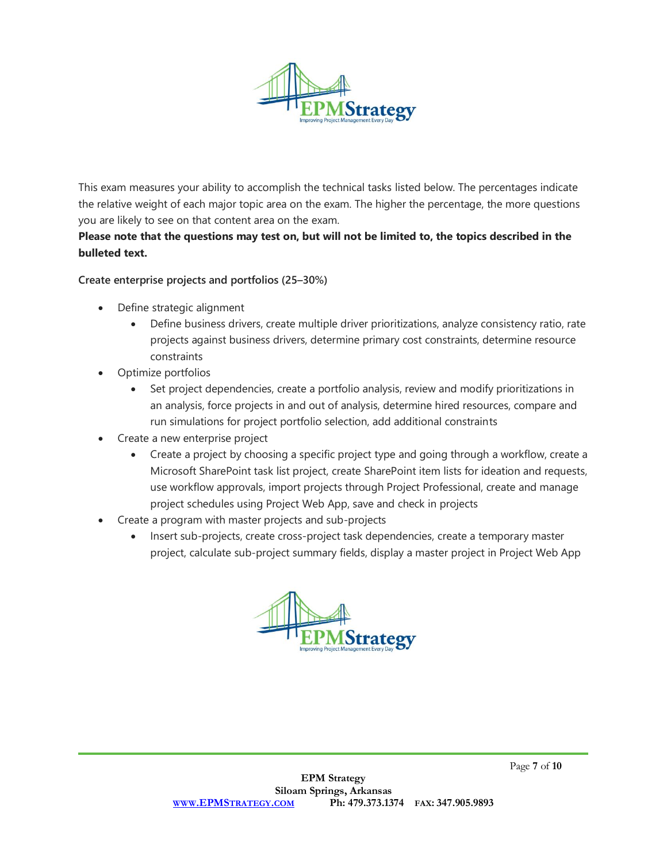

This exam measures your ability to accomplish the technical tasks listed below. The percentages indicate the relative weight of each major topic area on the exam. The higher the percentage, the more questions you are likely to see on that content area on the exam.

### Please note that the questions may test on, but will not be limited to, the topics described in the **bulleted text.**

#### **Create enterprise projects and portfolios (25–30%)**

- Define strategic alignment
	- Define business drivers, create multiple driver prioritizations, analyze consistency ratio, rate projects against business drivers, determine primary cost constraints, determine resource constraints
- Optimize portfolios
	- Set project dependencies, create a portfolio analysis, review and modify prioritizations in an analysis, force projects in and out of analysis, determine hired resources, compare and run simulations for project portfolio selection, add additional constraints
- Create a new enterprise project
	- Create a project by choosing a specific project type and going through a workflow, create a Microsoft SharePoint task list project, create SharePoint item lists for ideation and requests, use workflow approvals, import projects through Project Professional, create and manage project schedules using Project Web App, save and check in projects
- Create a program with master projects and sub-projects
	- Insert sub-projects, create cross-project task dependencies, create a temporary master project, calculate sub-project summary fields, display a master project in Project Web App

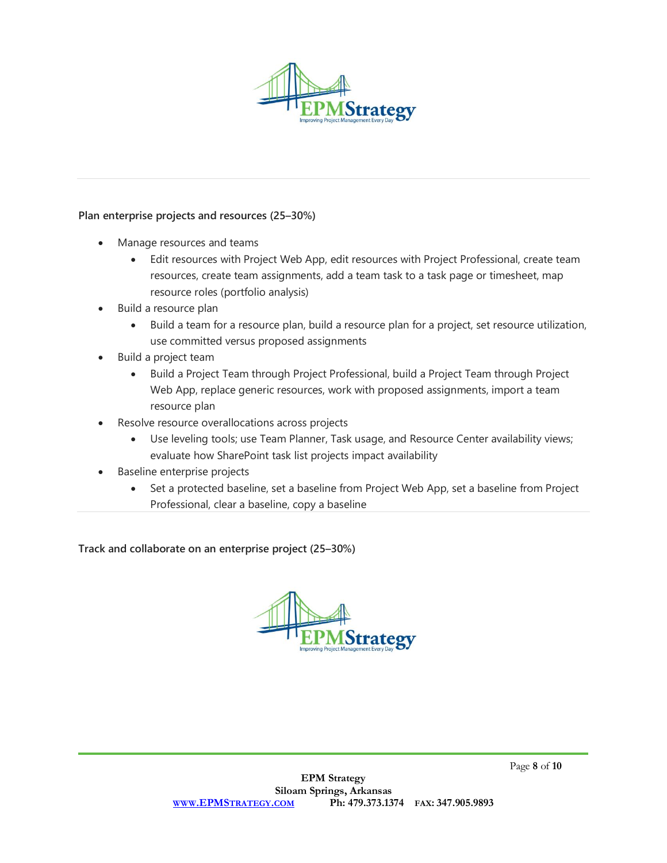

#### **Plan enterprise projects and resources (25–30%)**

- Manage resources and teams
	- Edit resources with Project Web App, edit resources with Project Professional, create team resources, create team assignments, add a team task to a task page or timesheet, map resource roles (portfolio analysis)
- Build a resource plan
	- Build a team for a resource plan, build a resource plan for a project, set resource utilization, use committed versus proposed assignments
- Build a project team
	- Build a Project Team through Project Professional, build a Project Team through Project Web App, replace generic resources, work with proposed assignments, import a team resource plan
- Resolve resource overallocations across projects
	- Use leveling tools; use Team Planner, Task usage, and Resource Center availability views; evaluate how SharePoint task list projects impact availability
- Baseline enterprise projects
	- Set a protected baseline, set a baseline from Project Web App, set a baseline from Project Professional, clear a baseline, copy a baseline

**Track and collaborate on an enterprise project (25–30%)**

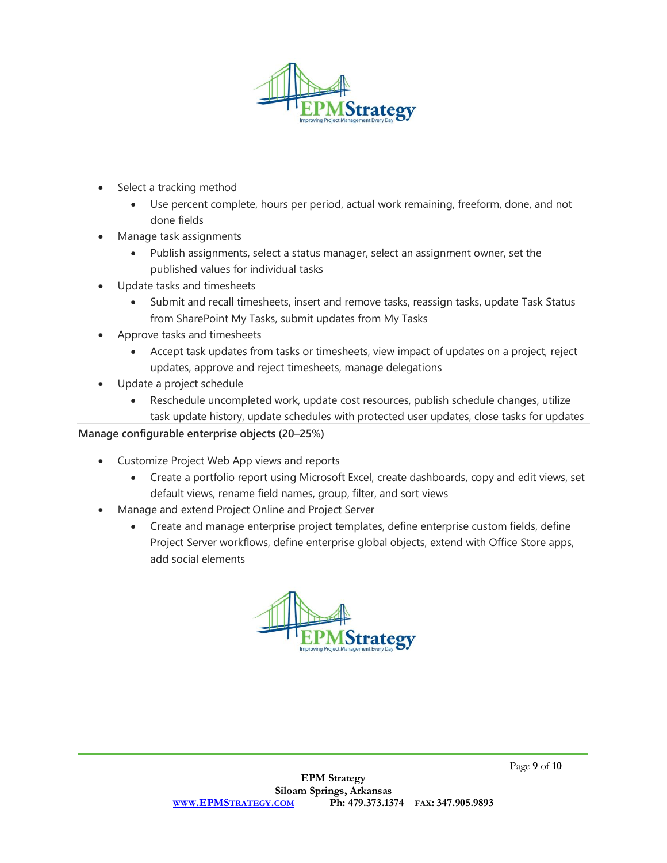

- Select a tracking method
	- Use percent complete, hours per period, actual work remaining, freeform, done, and not done fields
- Manage task assignments
	- Publish assignments, select a status manager, select an assignment owner, set the published values for individual tasks
- Update tasks and timesheets
	- Submit and recall timesheets, insert and remove tasks, reassign tasks, update Task Status from SharePoint My Tasks, submit updates from My Tasks
- Approve tasks and timesheets
	- Accept task updates from tasks or timesheets, view impact of updates on a project, reject updates, approve and reject timesheets, manage delegations
- Update a project schedule
	- Reschedule uncompleted work, update cost resources, publish schedule changes, utilize task update history, update schedules with protected user updates, close tasks for updates

#### **Manage configurable enterprise objects (20–25%)**

- Customize Project Web App views and reports
	- Create a portfolio report using Microsoft Excel, create dashboards, copy and edit views, set default views, rename field names, group, filter, and sort views
- Manage and extend Project Online and Project Server
	- Create and manage enterprise project templates, define enterprise custom fields, define Project Server workflows, define enterprise global objects, extend with Office Store apps, add social elements